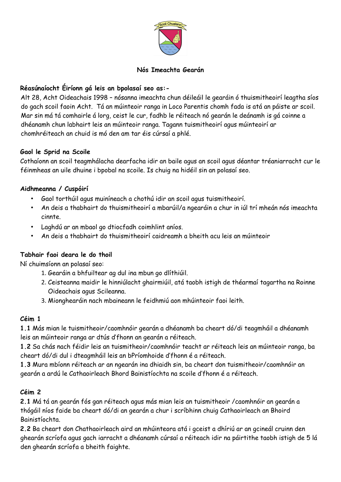

### **Nós Imeachta Gearán**

### **Réasúnaíocht Éiríonn gá leis an bpolasaí seo as:-**

Alt 28, Acht Oideachais 1998 – nósanna imeachta chun déileáil le gearáin ó thuismitheoirí leagtha síos do gach scoil faoin Acht. Tá an múinteoir ranga in Loco Parentis chomh fada is atá an páiste ar scoil. Mar sin má tá comhairle á lorg, ceist le cur, fadhb le réiteach nó gearán le deánamh is gá coinne a dhéanamh chun labhairt leis an múinteoir ranga. Tagann tuismitheoirí agus múinteoirí ar chomhréiteach an chuid is mó den am tar éis cúrsaí a phlé.

#### **Gaol le Sprid na Scoile**

Cothaíonn an scoil teagmhálacha dearfacha idir an baile agus an scoil agus déantar tréaniarracht cur le féinmheas an uile dhuine i bpobal na scoile. Is chuig na hidéil sin an polasaí seo.

### **Aidhmeanna / Cuspóirí**

- Gaol torthúil agus muiníneach a chothú idir an scoil agus tuismitheoirí.
- An deis a thabhairt do thuismitheoirí a mbarúil/a ngearáin a chur in iúl trí mheán nós imeachta cinnte.
- Laghdú ar an mbaol go dtiocfadh coimhlint aníos.
- An deis a thabhairt do thuismitheoirí caidreamh a bheith acu leis an múinteoir

#### **Tabhair faoi deara le do thoil**

Ní chuimsíonn an polasaí seo:

- 1. Gearáin a bhfuiltear ag dul ina mbun go dlíthiúil.
- 2. Ceisteanna maidir le hinniúlacht ghairmiúil, atá taobh istigh de théarmaí tagartha na Roinne Oideachais agus Scileanna.
- 3. Mionghearáin nach mbaineann le feidhmiú aon mhúinteoir faoi leith.

#### **Céim 1**

**1.1** Más mian le tuismitheoir/caomhnóir gearán a dhéanamh ba cheart dó/di teagmháil a dhéanamh leis an múinteoir ranga ar dtús d'fhonn an gearán a réiteach.

**1.2** Sa chás nach féidir leis an tuismitheoir/caomhnóir teacht ar réiteach leis an múinteoir ranga, ba cheart dó/di dul i dteagmháil leis an bPríomhoide d'fhonn é a réiteach.

**1.3** Mura mbíonn réiteach ar an ngearán ina dhiaidh sin, ba cheart don tuismitheoir/caomhnóir an gearán a ardú le Cathaoirleach Bhord Bainistíochta na scoile d'fhonn é a réiteach.

#### **Céim 2**

**2.1** Má tá an gearán fós gan réiteach agus más mian leis an tuismitheoir /caomhnóir an gearán a thógáil níos faide ba cheart dó/di an gearán a chur i scríbhinn chuig Cathaoirleach an Bhoird Bainistíochta.

**2.2** Ba cheart don Chathaoirleach aird an mhúinteora atá i gceist a dhíriú ar an gcineál cruinn den ghearán scríofa agus gach iarracht a dhéanamh cúrsaí a réiteach idir na páirtithe taobh istigh de 5 lá den ghearán scríofa a bheith faighte.